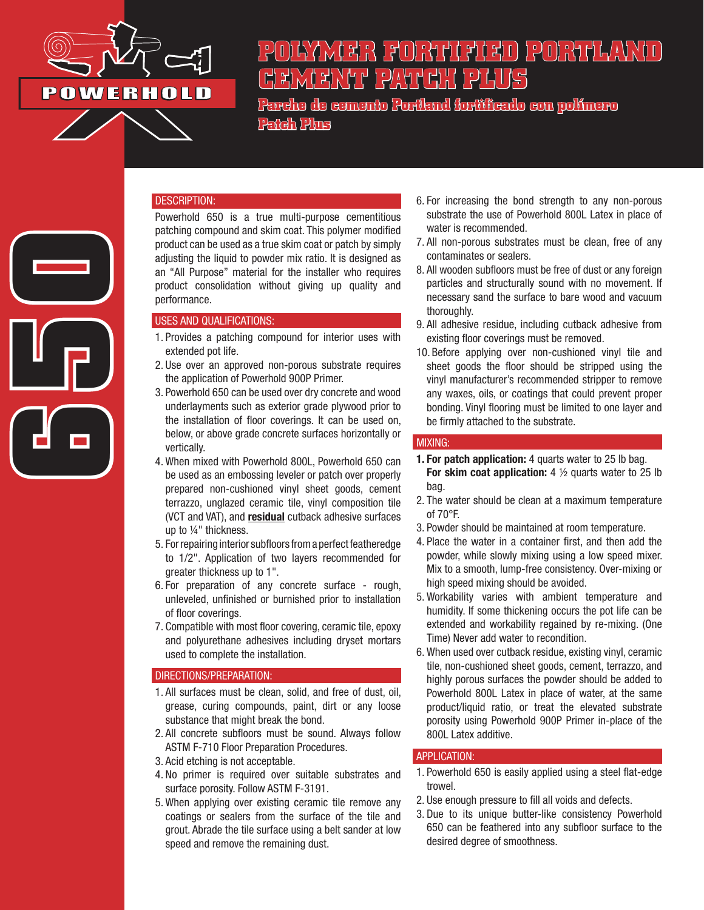

**650**<br>True<br>Co

# **POLYMER FORTIFIED PORTLAND CEMENT PATCH PLUS**

**Parche de cemento Portland fortificado con polímero Patch Plus**

### DESCRIPTION:

Powerhold 650 is a true multi-purpose cementitious patching compound and skim coat. This polymer modified product can be used as a true skim coat or patch by simply adjusting the liquid to powder mix ratio. It is designed as an "All Purpose" material for the installer who requires product consolidation without giving up quality and performance.

## USES AND QUALIFICATIONS:

- 1. Provides a patching compound for interior uses with extended pot life.
- 2. Use over an approved non-porous substrate requires the application of Powerhold 900P Primer.
- 3. Powerhold 650 can be used over dry concrete and wood underlayments such as exterior grade plywood prior to the installation of floor coverings. It can be used on, below, or above grade concrete surfaces horizontally or vertically.
- 4. When mixed with Powerhold 800L, Powerhold 650 can be used as an embossing leveler or patch over properly prepared non-cushioned vinyl sheet goods, cement terrazzo, unglazed ceramic tile, vinyl composition tile (VCT and VAT), and residual cutback adhesive surfaces up to ¼" thickness.
- 5. For repairing interior subfloors from a perfect featheredge to 1/2". Application of two layers recommended for greater thickness up to 1".
- 6. For preparation of any concrete surface rough, unleveled, unfinished or burnished prior to installation of floor coverings.
- 7. Compatible with most floor covering, ceramic tile, epoxy and polyurethane adhesives including dryset mortars used to complete the installation.

### DIRECTIONS/PREPARATION:

- 1. All surfaces must be clean, solid, and free of dust, oil, grease, curing compounds, paint, dirt or any loose substance that might break the bond.
- 2. All concrete subfloors must be sound. Always follow ASTM F-710 Floor Preparation Procedures.
- 3. Acid etching is not acceptable.
- 4. No primer is required over suitable substrates and surface porosity. Follow ASTM F-3191.
- 5. When applying over existing ceramic tile remove any coatings or sealers from the surface of the tile and grout. Abrade the tile surface using a belt sander at low speed and remove the remaining dust.
- 6. For increasing the bond strength to any non-porous substrate the use of Powerhold 800L Latex in place of water is recommended.
- 7. All non-porous substrates must be clean, free of any contaminates or sealers.
- 8. All wooden subfloors must be free of dust or any foreign particles and structurally sound with no movement. If necessary sand the surface to bare wood and vacuum thoroughly.
- 9. All adhesive residue, including cutback adhesive from existing floor coverings must be removed.
- 10. Before applying over non-cushioned vinyl tile and sheet goods the floor should be stripped using the vinyl manufacturer's recommended stripper to remove any waxes, oils, or coatings that could prevent proper bonding. Vinyl flooring must be limited to one layer and be firmly attached to the substrate.

### MIXING:

- 1. For patch application: 4 quarts water to 25 lb bag. For skim coat application:  $4\frac{1}{2}$  quarts water to 25 lb bag.
- 2. The water should be clean at a maximum temperature of 70°F.
- 3. Powder should be maintained at room temperature.
- 4. Place the water in a container first, and then add the powder, while slowly mixing using a low speed mixer. Mix to a smooth, lump-free consistency. Over-mixing or high speed mixing should be avoided.
- 5. Workability varies with ambient temperature and humidity. If some thickening occurs the pot life can be extended and workability regained by re-mixing. (One Time) Never add water to recondition.
- 6. When used over cutback residue, existing vinyl, ceramic tile, non-cushioned sheet goods, cement, terrazzo, and highly porous surfaces the powder should be added to Powerhold 800L Latex in place of water, at the same product/liquid ratio, or treat the elevated substrate porosity using Powerhold 900P Primer in-place of the 800L Latex additive.

### APPLICATION:

- 1. Powerhold 650 is easily applied using a steel flat-edge trowel.
- 2. Use enough pressure to fill all voids and defects.
- 3. Due to its unique butter-like consistency Powerhold 650 can be feathered into any subfloor surface to the desired degree of smoothness.